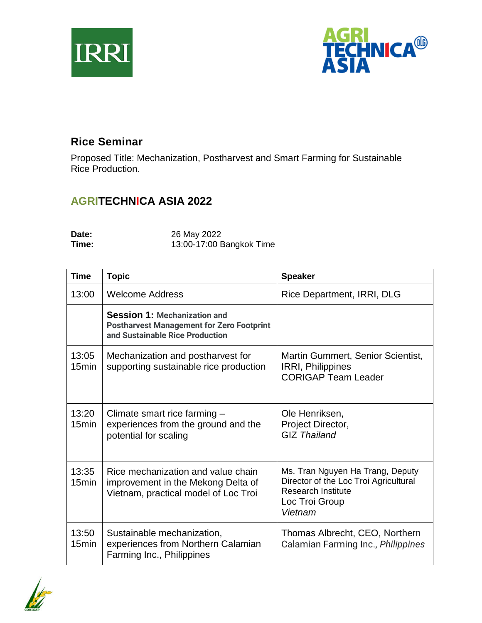



## **Rice Seminar**

Proposed Title: Mechanization, Postharvest and Smart Farming for Sustainable Rice Production.

## **AGRITECHNICA ASIA 2022**

| Date: | 26 May 2022              |
|-------|--------------------------|
| Time: | 13:00-17:00 Bangkok Time |

| <b>Time</b>                | <b>Topic</b>                                                                                                               | <b>Speaker</b>                                                                                                                      |
|----------------------------|----------------------------------------------------------------------------------------------------------------------------|-------------------------------------------------------------------------------------------------------------------------------------|
| 13:00                      | <b>Welcome Address</b>                                                                                                     | Rice Department, IRRI, DLG                                                                                                          |
|                            | <b>Session 1: Mechanization and</b><br><b>Postharvest Management for Zero Footprint</b><br>and Sustainable Rice Production |                                                                                                                                     |
| 13:05<br>15 <sub>min</sub> | Mechanization and postharvest for<br>supporting sustainable rice production                                                | Martin Gummert, Senior Scientist,<br><b>IRRI, Philippines</b><br><b>CORIGAP Team Leader</b>                                         |
| 13:20<br>15 <sub>min</sub> | Climate smart rice farming -<br>experiences from the ground and the<br>potential for scaling                               | Ole Henriksen,<br>Project Director,<br><b>GIZ Thailand</b>                                                                          |
| 13:35<br>15 <sub>min</sub> | Rice mechanization and value chain<br>improvement in the Mekong Delta of<br>Vietnam, practical model of Loc Troi           | Ms. Tran Nguyen Ha Trang, Deputy<br>Director of the Loc Troi Agricultural<br><b>Research Institute</b><br>Loc Troi Group<br>Vietnam |
| 13:50<br>15min             | Sustainable mechanization,<br>experiences from Northern Calamian<br>Farming Inc., Philippines                              | Thomas Albrecht, CEO, Northern<br>Calamian Farming Inc., Philippines                                                                |

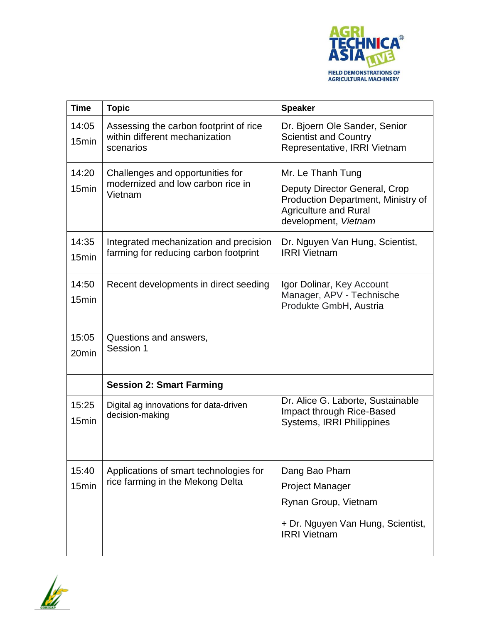

| <b>Time</b>                | <b>Topic</b>                                                                          | <b>Speaker</b>                                                                                                                                   |
|----------------------------|---------------------------------------------------------------------------------------|--------------------------------------------------------------------------------------------------------------------------------------------------|
| 14:05<br>15min             | Assessing the carbon footprint of rice<br>within different mechanization<br>scenarios | Dr. Bjoern Ole Sander, Senior<br><b>Scientist and Country</b><br>Representative, IRRI Vietnam                                                    |
| 14:20<br>15min             | Challenges and opportunities for<br>modernized and low carbon rice in<br>Vietnam      | Mr. Le Thanh Tung<br>Deputy Director General, Crop<br>Production Department, Ministry of<br><b>Agriculture and Rural</b><br>development, Vietnam |
| 14:35<br>15 <sub>min</sub> | Integrated mechanization and precision<br>farming for reducing carbon footprint       | Dr. Nguyen Van Hung, Scientist,<br><b>IRRI Vietnam</b>                                                                                           |
| 14:50<br>15 <sub>min</sub> | Recent developments in direct seeding                                                 | Igor Dolinar, Key Account<br>Manager, APV - Technische<br>Produkte GmbH, Austria                                                                 |
| 15:05<br>20 <sub>min</sub> | Questions and answers,<br>Session 1                                                   |                                                                                                                                                  |
|                            | <b>Session 2: Smart Farming</b>                                                       |                                                                                                                                                  |
| 15:25<br>15 <sub>min</sub> | Digital ag innovations for data-driven<br>decision-making                             | Dr. Alice G. Laborte, Sustainable<br>Impact through Rice-Based<br><b>Systems, IRRI Philippines</b>                                               |
| 15:40<br>15min             | Applications of smart technologies for<br>rice farming in the Mekong Delta            | Dang Bao Pham<br><b>Project Manager</b><br>Rynan Group, Vietnam<br>+ Dr. Nguyen Van Hung, Scientist,<br><b>IRRI Vietnam</b>                      |